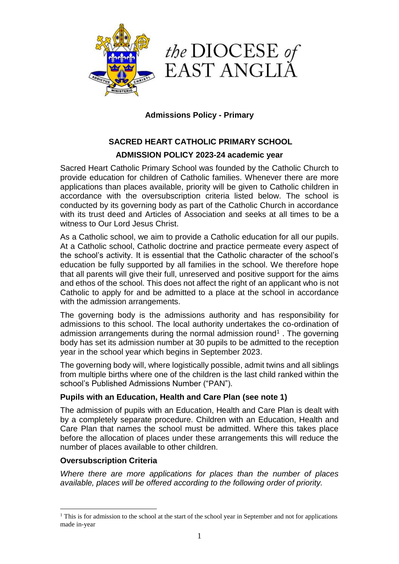



## **Admissions Policy - Primary**

# **SACRED HEART CATHOLIC PRIMARY SCHOOL ADMISSION POLICY 2023-24 academic year**

Sacred Heart Catholic Primary School was founded by the Catholic Church to provide education for children of Catholic families. Whenever there are more applications than places available, priority will be given to Catholic children in accordance with the oversubscription criteria listed below. The school is conducted by its governing body as part of the Catholic Church in accordance with its trust deed and Articles of Association and seeks at all times to be a witness to Our Lord Jesus Christ.

As a Catholic school, we aim to provide a Catholic education for all our pupils. At a Catholic school, Catholic doctrine and practice permeate every aspect of the school's activity. It is essential that the Catholic character of the school's education be fully supported by all families in the school. We therefore hope that all parents will give their full, unreserved and positive support for the aims and ethos of the school. This does not affect the right of an applicant who is not Catholic to apply for and be admitted to a place at the school in accordance with the admission arrangements.

The governing body is the admissions authority and has responsibility for admissions to this school. The local authority undertakes the co-ordination of admission arrangements during the normal admission round<sup>1</sup>. The governing body has set its admission number at 30 pupils to be admitted to the reception year in the school year which begins in September 2023.

The governing body will, where logistically possible, admit twins and all siblings from multiple births where one of the children is the last child ranked within the school's Published Admissions Number ("PAN").

#### **Pupils with an Education, Health and Care Plan (see note 1)**

The admission of pupils with an Education, Health and Care Plan is dealt with by a completely separate procedure. Children with an Education, Health and Care Plan that names the school must be admitted. Where this takes place before the allocation of places under these arrangements this will reduce the number of places available to other children.

#### **Oversubscription Criteria**

 $\overline{a}$ 

*Where there are more applications for places than the number of places available, places will be offered according to the following order of priority.*

<sup>&</sup>lt;sup>1</sup> This is for admission to the school at the start of the school year in September and not for applications made in-year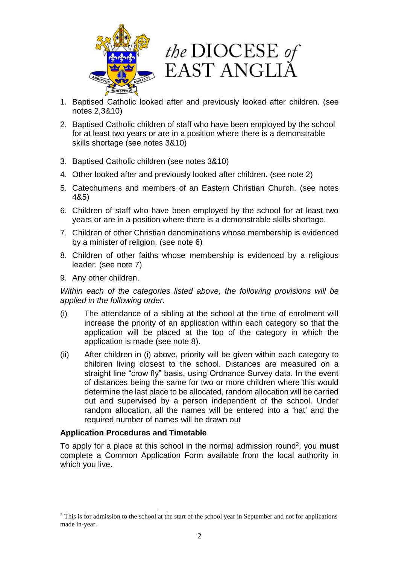



- 1. Baptised Catholic looked after and previously looked after children. (see notes 2,3&10)
- 2. Baptised Catholic children of staff who have been employed by the school for at least two years or are in a position where there is a demonstrable skills shortage (see notes 3&10)
- 3. Baptised Catholic children (see notes 3&10)
- 4. Other looked after and previously looked after children. (see note 2)
- 5. Catechumens and members of an Eastern Christian Church. (see notes 4&5)
- 6. Children of staff who have been employed by the school for at least two years or are in a position where there is a demonstrable skills shortage.
- 7. Children of other Christian denominations whose membership is evidenced by a minister of religion. (see note 6)
- 8. Children of other faiths whose membership is evidenced by a religious leader. (see note 7)
- 9. Any other children.

 $\overline{a}$ 

*Within each of the categories listed above, the following provisions will be applied in the following order.*

- (i) The attendance of a sibling at the school at the time of enrolment will increase the priority of an application within each category so that the application will be placed at the top of the category in which the application is made (see note 8).
- (ii) After children in (i) above, priority will be given within each category to children living closest to the school. Distances are measured on a straight line "crow fly" basis, using Ordnance Survey data. In the event of distances being the same for two or more children where this would determine the last place to be allocated, random allocation will be carried out and supervised by a person independent of the school. Under random allocation, all the names will be entered into a 'hat' and the required number of names will be drawn out

#### **Application Procedures and Timetable**

To apply for a place at this school in the normal admission round<sup>2</sup>, you must complete a Common Application Form available from the local authority in which you live.

<sup>&</sup>lt;sup>2</sup> This is for admission to the school at the start of the school year in September and not for applications made in-year.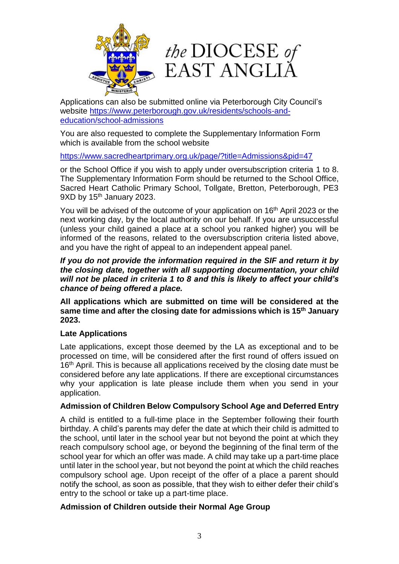



Applications can also be submitted online via Peterborough City Council's website [https://www.peterborough.gov.uk/residents/schools-and](https://www.peterborough.gov.uk/residents/schools-and-education/school-admissions)[education/school-admissions](https://www.peterborough.gov.uk/residents/schools-and-education/school-admissions)

You are also requested to complete the Supplementary Information Form which is available from the school website

<https://www.sacredheartprimary.org.uk/page/?title=Admissions&pid=47>

or the School Office if you wish to apply under oversubscription criteria 1 to 8. The Supplementary Information Form should be returned to the School Office, Sacred Heart Catholic Primary School, Tollgate, Bretton, Peterborough, PE3 9XD by 15<sup>th</sup> January 2023.

You will be advised of the outcome of your application on 16<sup>th</sup> April 2023 or the next working day, by the local authority on our behalf. If you are unsuccessful (unless your child gained a place at a school you ranked higher) you will be informed of the reasons, related to the oversubscription criteria listed above, and you have the right of appeal to an independent appeal panel.

*If you do not provide the information required in the SIF and return it by the closing date, together with all supporting documentation, your child will not be placed in criteria 1 to 8 and this is likely to affect your child's chance of being offered a place.*

**All applications which are submitted on time will be considered at the same time and after the closing date for admissions which is 15th January 2023.**

## **Late Applications**

Late applications, except those deemed by the LA as exceptional and to be processed on time, will be considered after the first round of offers issued on 16<sup>th</sup> April. This is because all applications received by the closing date must be considered before any late applications. If there are exceptional circumstances why your application is late please include them when you send in your application.

## **Admission of Children Below Compulsory School Age and Deferred Entry**

A child is entitled to a full-time place in the September following their fourth birthday. A child's parents may defer the date at which their child is admitted to the school, until later in the school year but not beyond the point at which they reach compulsory school age, or beyond the beginning of the final term of the school year for which an offer was made. A child may take up a part-time place until later in the school year, but not beyond the point at which the child reaches compulsory school age. Upon receipt of the offer of a place a parent should notify the school, as soon as possible, that they wish to either defer their child's entry to the school or take up a part-time place.

#### **Admission of Children outside their Normal Age Group**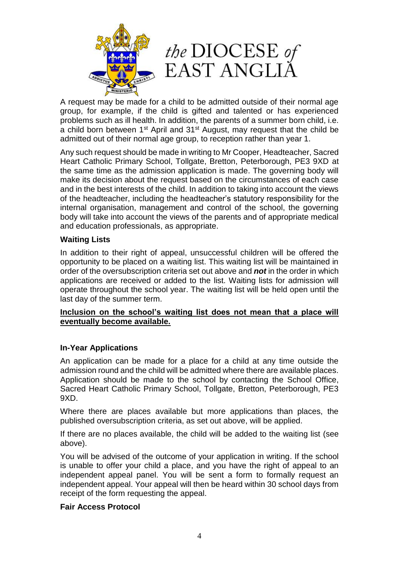

A request may be made for a child to be admitted outside of their normal age group, for example, if the child is gifted and talented or has experienced problems such as ill health. In addition, the parents of a summer born child, i.e. a child born between 1<sup>st</sup> April and 31<sup>st</sup> August, may request that the child be admitted out of their normal age group, to reception rather than year 1.

Any such request should be made in writing to Mr Cooper, Headteacher, Sacred Heart Catholic Primary School, Tollgate, Bretton, Peterborough, PE3 9XD at the same time as the admission application is made. The governing body will make its decision about the request based on the circumstances of each case and in the best interests of the child. In addition to taking into account the views of the headteacher, including the headteacher's statutory responsibility for the internal organisation, management and control of the school, the governing body will take into account the views of the parents and of appropriate medical and education professionals, as appropriate.

#### **Waiting Lists**

In addition to their right of appeal, unsuccessful children will be offered the opportunity to be placed on a waiting list. This waiting list will be maintained in order of the oversubscription criteria set out above and *not* in the order in which applications are received or added to the list. Waiting lists for admission will operate throughout the school year. The waiting list will be held open until the last day of the summer term.

#### **Inclusion on the school's waiting list does not mean that a place will eventually become available.**

#### **In-Year Applications**

An application can be made for a place for a child at any time outside the admission round and the child will be admitted where there are available places. Application should be made to the school by contacting the School Office, Sacred Heart Catholic Primary School, Tollgate, Bretton, Peterborough, PE3 9XD.

Where there are places available but more applications than places, the published oversubscription criteria, as set out above, will be applied.

If there are no places available, the child will be added to the waiting list (see above).

You will be advised of the outcome of your application in writing. If the school is unable to offer your child a place, and you have the right of appeal to an independent appeal panel. You will be sent a form to formally request an independent appeal. Your appeal will then be heard within 30 school days from receipt of the form requesting the appeal.

#### **Fair Access Protocol**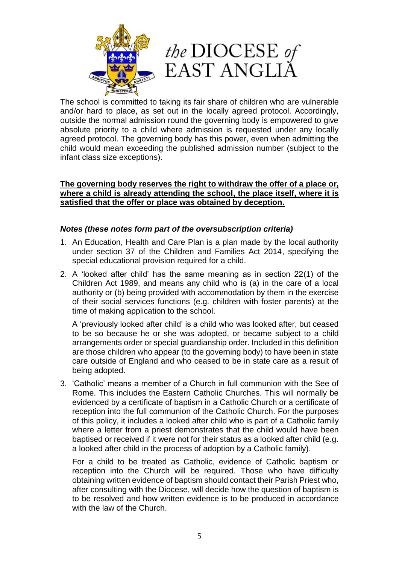



The school is committed to taking its fair share of children who are vulnerable and/or hard to place, as set out in the locally agreed protocol. Accordingly, outside the normal admission round the governing body is empowered to give absolute priority to a child where admission is requested under any locally agreed protocol. The governing body has this power, even when admitting the child would mean exceeding the published admission number (subject to the infant class size exceptions).

#### **The governing body reserves the right to withdraw the offer of a place or, where a child is already attending the school, the place itself, where it is satisfied that the offer or place was obtained by deception.**

## *Notes (these notes form part of the oversubscription criteria)*

- 1. An Education, Health and Care Plan is a plan made by the local authority under section 37 of the Children and Families Act 2014, specifying the special educational provision required for a child.
- 2. A 'looked after child' has the same meaning as in section 22(1) of the Children Act 1989, and means any child who is (a) in the care of a local authority or (b) being provided with accommodation by them in the exercise of their social services functions (e.g. children with foster parents) at the time of making application to the school.

A 'previously looked after child' is a child who was looked after, but ceased to be so because he or she was adopted, or became subject to a child arrangements order or special guardianship order. Included in this definition are those children who appear (to the governing body) to have been in state care outside of England and who ceased to be in state care as a result of being adopted.

3. 'Catholic' means a member of a Church in full communion with the See of Rome. This includes the Eastern Catholic Churches. This will normally be evidenced by a certificate of baptism in a Catholic Church or a certificate of reception into the full communion of the Catholic Church. For the purposes of this policy, it includes a looked after child who is part of a Catholic family where a letter from a priest demonstrates that the child would have been baptised or received if it were not for their status as a looked after child (e.g. a looked after child in the process of adoption by a Catholic family).

For a child to be treated as Catholic, evidence of Catholic baptism or reception into the Church will be required. Those who have difficulty obtaining written evidence of baptism should contact their Parish Priest who, after consulting with the Diocese, will decide how the question of baptism is to be resolved and how written evidence is to be produced in accordance with the law of the Church.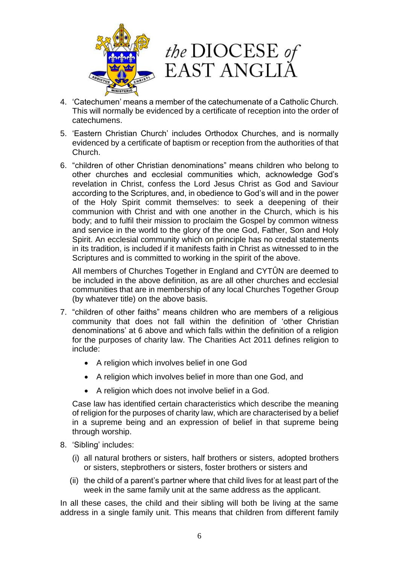



- 4. 'Catechumen' means a member of the catechumenate of a Catholic Church. This will normally be evidenced by a certificate of reception into the order of catechumens.
- 5. 'Eastern Christian Church' includes Orthodox Churches, and is normally evidenced by a certificate of baptism or reception from the authorities of that Church.
- 6. "children of other Christian denominations" means children who belong to other churches and ecclesial communities which, acknowledge God's revelation in Christ, confess the Lord Jesus Christ as God and Saviour according to the Scriptures, and, in obedience to God's will and in the power of the Holy Spirit commit themselves: to seek a deepening of their communion with Christ and with one another in the Church, which is his body; and to fulfil their mission to proclaim the Gospel by common witness and service in the world to the glory of the one God, Father, Son and Holy Spirit. An ecclesial community which on principle has no credal statements in its tradition, is included if it manifests faith in Christ as witnessed to in the Scriptures and is committed to working in the spirit of the above.

All members of Churches Together in England and CYTÛN are deemed to be included in the above definition, as are all other churches and ecclesial communities that are in membership of any local Churches Together Group (by whatever title) on the above basis.

- 7. "children of other faiths" means children who are members of a religious community that does not fall within the definition of 'other Christian denominations' at 6 above and which falls within the definition of a religion for the purposes of charity law. The Charities Act 2011 defines religion to include:
	- A religion which involves belief in one God
	- A religion which involves belief in more than one God, and
	- A religion which does not involve belief in a God.

Case law has identified certain characteristics which describe the meaning of religion for the purposes of charity law, which are characterised by a belief in a supreme being and an expression of belief in that supreme being through worship.

- 8. 'Sibling' includes:
	- (i) all natural brothers or sisters, half brothers or sisters, adopted brothers or sisters, stepbrothers or sisters, foster brothers or sisters and
	- (ii) the child of a parent's partner where that child lives for at least part of the week in the same family unit at the same address as the applicant.

In all these cases, the child and their sibling will both be living at the same address in a single family unit. This means that children from different family